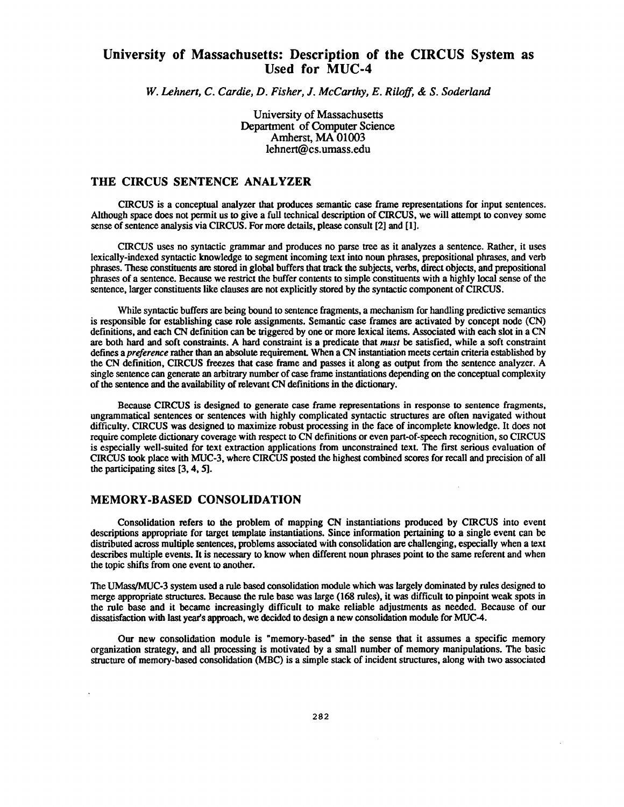## **University of Massachusetts: Description of the CIRCUS System as Used for MUC-4**

*W. Lehnert, C. Cardie, D. Fisher, J. McCarthy, E. Riloff,* & *S. Soderland*

University of Massachusetts Department of Computer Science Amherst, MA 01003 lehnert@cs.umass.edu

## **THE CIRCUS SENTENCE ANALYZER**

CIRCUS is a conceptual analyzer that produces semantic case frame representations for input sentences . Although space does not permit us to give a full technical description of CIRCUS, we will attempt to convey some sense of sentence analysis via CIRCUS . For more details, please consult [2] and [1].

CIRCUS uses no syntactic grammar and produces no parse tree as it analyzes a sentence . Rather, it uses lexically-indexed syntactic knowledge to segment incoming text into noun phrases, prepositional phrases, and verb phrases. These constituents are stored in global buffers that track the subjects, verbs, direct objects, and prepositiona l phrases of a sentence. Because we restrict the buffer contents to simple constituents with a highly local sense of the sentence, larger constituents like clauses are not explicitly stored by the syntactic component of CIRCUS.

While syntactic buffers are being bound to sentence fragments, a mechanism for handling predictive semantics is responsible for **establishing** case role **assignments. Semantic** case frames are activated by concept node (CN) definitions, and each CN defmition can be triggered by one or more lexical items. Associated with each slot in a CN are both **hard** and soft constraints. A hard constraint is a **predicate** that *must* **be satisfied, while** a **soft** constraint **defines** *apreference* **rather than an absolute requirement When** a CN instantiation meets certain **criteria established** by **the** CN **definition, CIRCUS** freezes **that** case frame and **passes** it **along** as **output** from the sentence analyzer. A single sentence can generate an arbitrary number of case frame instantiations depending on the conceptual complexity of the sentence and the **availability** of relevant CN definitions in the dictionary.

Because CIRCUS is designed to generate case frame representations in response to sentence fragments, ungrammatical sentences or sentences with highly complicated syntactic structures are often navigated without difficulty. CIRCUS was designed to maximize robust processing in the face of incomplete knowledge . It does not require complete dictionary coverage with respect to CN defmition or even part-of-speech recognition, so CIRCUS is especially well-suited for text extraction applications from unconstrained text. The first serious evaluation of CIRCUS took place with MUC-3, where CIRCUS posted the highest combined scores for recall and precision of al l the participating sites [3, 4, 5].

## **MEMORY-BASED CONSOLIDATION**

**Consolidation** refers to the problem of **mapping** CN instantiations **produced** by CIRCUS into even t **descriptions appropriate** for target template instantiations . Since information **pertaining** to a single event can be distributed across multiple sentences, problems associated with **consolidation** are **challenging,** especially when a text describes **multiple events.** It is **necessary to** know when different **noun phrases point** to the same referent and when **the** topic **shifts** from one event **to another.**

The UMass/MUC-3 system used a rule based consolidation module which was largely dominated by rules designed to merge appropriate structures. Because the rule base was large (168 rules), it was difficult to pinpoint weak spots in the rule base and it became increasingly difficult to make reliable adjustments as needed . Because of our dissatisfaction with last year's **approach,** we **decided** to **design** a new **consolidation module** for MUC-4 .

**Our new consolidation module is "memory-based " in the sense that it assumes a specific memor y organization strategy,** and all **processing** is **motivated by** a small **number** of **memory manipulations.** The basic structure of memory-based consolidation (MBC) is a simple stack of incident structures, along with two associated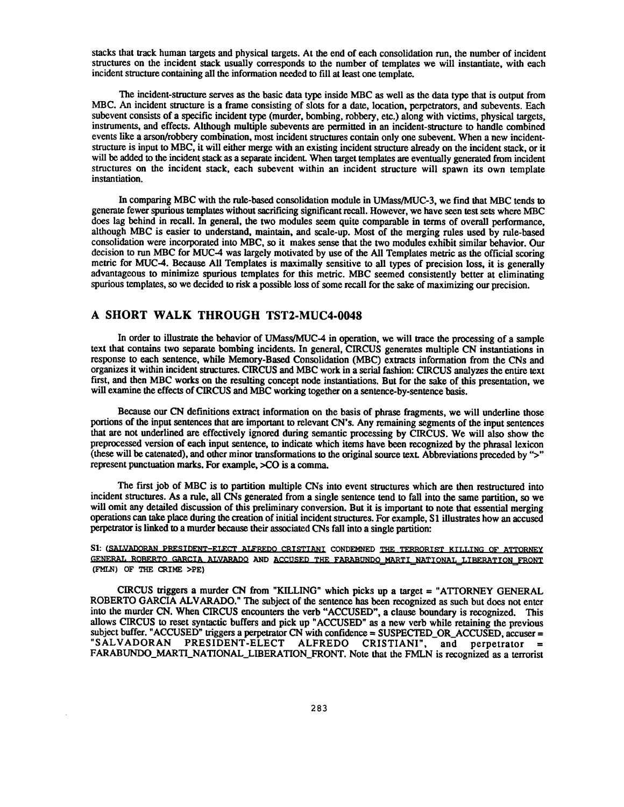stacks that track human targets and physical targets. At the end of each consolidation run, the number of incident structures on the incident stack **usually corresponds** to the **number** of **templates** we will instantiate, **with eac <sup>h</sup>** incident **structure containing** all **the** information **needed** to fill at least one template .

The incident-structure serves as the basic data type inside MBC as well as the data type that is output from MBC. An incident structure is a frame consisting of slots for a date, location, perpetrators, and subevents. Each subevent consists of a specific incident type (murder, bombing, robbery, etc.) along with victims, physical targets, instruments, and effects. **Although** multiple **subevents** are permitted in an **incident-structure** to handle combined events like a arson/robbery combination, most incident structures contain only one subevent. When a new incidentstructure is input to MBC, it will either merge with an existing incident structure already on the incident stack, or i t will be added to the incident stack as a separate incident. When target templates are eventually generated from incident structures on the incident stack, each subevent within an incident structure will spawn its own template instantiation.

In comparing MBC with the rule-based consolidation module in UMass/MUC-3, we find that MBC tends to generate fewer spurious templates without sacrificing significant recall . However, we have seen test sets where MBC does lag behind in recall. In general, the two modules seem quite comparable in terms of overall performance, although MBC is easier to **understand,** maintain, **and scale-up.** Most of the merging rules used by **rule-based** consolidation were incorporated into MBC, so it makes sense that the two modules exhibit similar behavior . Our decision to run MBC for MUC-4 was largely motivated by use of the All Templates metric as the official scoring metric for MUC-4. Because All Templates is maximally sensitive to all types of precision loss, it is generally advantageous to minimize spurious templates for this metric . MBC seemed consistently better at eliminating spurious templates, so we decided to risk a possible loss of some recall for the sake of maximizing our precision .

## **A SHORT WALK THROUGH TST2-MUC4-004 8**

In order to illustrate the **behavior** of UMass/MUC-4 in operation, we will trace the **processing** of a sample text that contains two separate bombing incidents. In general, CIRCUS generates multiple CN instantiations in response to each sentence, while Memory-Based Consolidation (MBC) extracts information from the CNs and organizes it within incident structures. CIRCUS and MBC work in a serial fashion : CIRCUS analyzes the entire tex <sup>t</sup> first, and then MBC works on the resulting concept node instantiations. But for the sake of this presentation, we will **examine** the effects **of CIRCUS and** MBC **working** together on a **sentence-by-sentence basis.**

**Because our** CN **definitions** extract **information** on **the basis** of phrase fragments, we will underline thos e portions of the input sentences that are important to relevant CN 's. Any remaining segments of the input sentences that are not underlined are effectively ignored during semantic processing by CIRCUS. We will also show the preprocessed version of each input sentence, to indicate which items have been recognized by the phrasal lexicon (these will be catenated), and other minor transformations to the original source text . Abbreviations preceded by "> " represent **punctuation** marks. For example, >CO is a comma .

The first job of MBC is to partition multiple CNs into event structures which are then restructured into incident structures. As a rule, all CNs generated from a single sentence tend to fall into the same partition, so we will omit any detailed discussion of this preliminary conversion. But it is important to note that essential merging **operations can take** place **during the** creation **of** initial **incident structures.** For **example,** S l illustrates how an accused **perpetrator** is **linked** to a murder **because their** associated CNs fall into a single partition:

S1: **(SALVADORAN** PRESIDENT-ELECT ALFREDO CRISTIANI CONDEMNED THE TERRORIST KILLING OF ATTORNEY **0F,NFRAT . RORERTO CJRCTA ALVARADO AND ACCUSRD THE FARABUNQp MARTINATTONAT . LTRRRATTONFRONT (FMLN) OF THE CRIME >PE )**

CIRCUS triggers a murder CN from "KILLING" which picks up a target = "ATTORNEY GENERAL ROBERTO GARCIA ALVARADO." The subject of the sentence has been recognized as such but does not enter **into the murder CN . When CIRCUS encounters the verb "ACCUSED", a clause boundary is recognized. This allows CIRCUS to reset syntactic buffers and pick up "ACCUSED" as a new verb while retaining the previous** subject buffer. "ACCUSED" triggers a perpetrator CN with confidence = SUSPECTED\_OR\_ACCUSED, accuser = "SALVADORAN PRESIDENT-ELECT ALFREDO CRISTIANI", and perpetrator = ALFREDO CRISTIANI", and perpetrator **FARABUNDO\_MARTI\_NATIONAL LIBERATION\_FRONT . Note that the FMLN is recognized as a terrorist**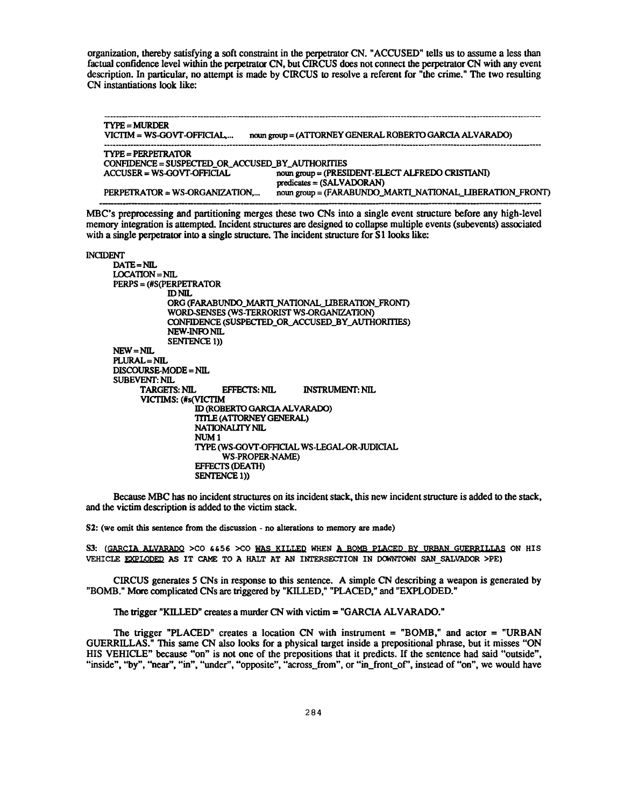organization, thereby satisfying a soft constraint in the perpetrator CN. "ACCUSED" tells us to assume a less than factual confidence level within the perpetrator CN, but CIRCUS does not connect the perpetrator CN with **any** event description. In particular, no attempt is made by CIRCUS to resolve a referent for "the crime ." The two resulting CN instantiations look like:

**TYPE** = **MURDER** VICTIM = **WS-GOVT-OFFICIAL,. . . noun group** = **(ATTORNEY GENERAL ROBERTO GARCIA ALVARADO ) TYPE**= **PERPETRATOR CONFIDENCE = SUSPECTED OR\_ACCUSED BY AUTHORITIFS ACCUSER = WS-GOVT-OFFICIAL noun group = (PRESIDENT-ELECT ALFREDO CRISTIANI )** predicates = **(SALVADORAN ) PERPETRATOR** <sup>=</sup> **WS-ORGANIZATION, . . . noun group** = (FARABUNDQMARTI NATIONAL LIBERATION FRONT )

**MBC's preprocessing and partitioning merges these two CNs into a single event structure before any high-level memory integration is attempted. Incident structures are designed to collapse multiple events (subevents) associate d with a single perpetrator into a single structure.** The incident structure for **S** l **looks like:**

#### **INCIDENT**

**DATE =NIL LOCATION =NIL PERPS** = **(#S(PERPETRATO R ID NIL ORG (FARABUNDO MARTI NATIONALL1BERATION\_FRONT ) WORD-SENSES (WS-TERRORIST WS-ORGANIZATION) CONFIDENCE (SUSPECTED OR ACCUSED\_BY AUTHORITIES ) NEW-INFO NIL SENTENCE 1)) NEW =NIL PLURAL =NIL DISCOURSE-MODE** = **NIL SUBEVENT: NIL TARGETS: NIL EFFECTS: NIL INSTRUMENT: NIL VICTIMS : (#s(VICTIM ID (ROBERTO GARCIA ALVARADO) TITLE (ATTORNEY GENERAL) NATIONALITY NIL NUM 1 TYPE (WS-GOVT-OFFICIAL WS-LEGAL-OR-JUDICIAL WS-PROPER-NAME) EFFECTS (DEATH) SENTENCE 1))**

Because MBC has no incident structures on its incident stack, this new incident structure is added to the stack , and the victim description is added to the victim stack.

**S2: (we omit this sentence from the discussion - no alterations to memory are made )**

**S3: (GARCIA ALVARADO >CO &&56 >CO WAS KILLED WHEN A BOMB PLACED BY URBAN GUERRILLAS ON HI S VEHICLE )XPLODED AS IT CAME TO A HALT AT AN INTERSECTION IN DOWNTOWN SAN SALVADOR >PE )**

CIRCUS generates 5 CNs in **response** to this sentence. A simple CN describing a weapon is generated b y "BOMB." More complicated CNs are triggered by "KILLED," "PLACED," and "EXPLODED ."

The trigger "KILLED" creates a murder CN with victim = "GARCIA ALVARADO. "

The trigger "PLACED" creates a location CN with instrument = "BOMB," and actor = "URBAN GUERRILLAS." This same CN also looks for a physical target inside a prepositional phrase, but it misses "ON HIS VEHICLE" because "on" is not one of the prepositions that it predicts. If the sentence had said "outside", "inside", "by", "near", "in", "under", "opposite", "across\_from", or "in\_front\_of", instead of "on", we would have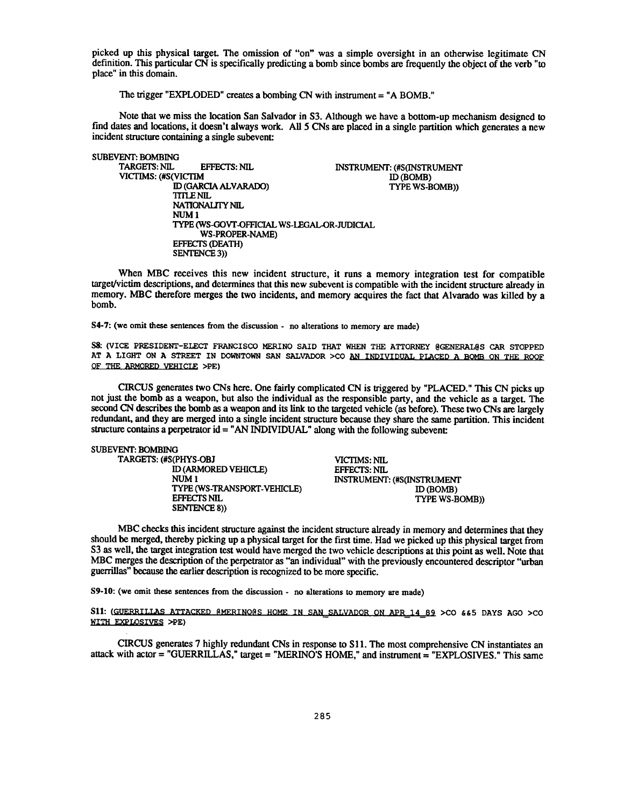picked up this physical target. The omission of "on" was a simple oversight in an otherwise legitimate CN definition. This particular  $CN$  is specifically predicting a bomb since bombs are frequently the object of the verb "to place" in this domain.

The trigger "EXPLODED" creates a bombing CN with instrument = "A BOMB."

Note that we miss the location San Salvador in S3. Although we have a bottom-up mechanism designed to find dates and locations, it doesn't always work. All 5 CNs are placed in a single partition which generates a new incident structure containing a single subevent:

SUBEVENT: BOMBING<br>TARGETS: NIL EFFECTS: NIL INSTRUMENT: (#S(INSTRUMENT: 0)<br>M ID (BOMB) VICTIMS: (#S(VICTIM
ID (GARCIA ALVARADO)
ID (BOMB)
ID (BOMB)
ID (GARCIA ALVARADO)
ISO TYPE WS-BOMB) ID (GARCIA ALVARADO) TITLE NIL NATIONALITY NIL NUM <sup>1</sup> TYPE (WS-GOVT-OFFICIAL WS-LEGAL-OR-JUDICIAL WS-PROPER-NAME) EFFECTS (DEATH) SENTENCE 3))

When MBC receives this new incident structure, it runs a memory integration test for compatible target/victim descriptions, and determines that this new subevent is compatible with the incident structure already in memory. MBC therefore merges the two incidents, and memory acquires the fact that Alvarado was killed by a bomb.

**S4-7: (we omit these sentences from the discussion - no alterations to memory are made )**

S8: (VICE PRESIDENT-ELECT FRANCISCO MERINO SAID THAT WHEN THE ATTORNEY @GENERAL@S CAR STOPPED AT A LIGHT ON A STREET IN DOWNTOWN SAN SALVADOR >CO AN INDIVIDUAL PLACED A BOMB ON THE ROOF OF THE ARMORED VEHICLE >PE)

CIRCUS generates two CNs here. One fairly complicated CN is triggered by "PLACED ." This CN picks up not just the bomb as a weapon, but also the individual as the responsible party, and the vehicle as a target. The second CN describes the bomb as a weapon and its link to the targeted vehicle (as before). These two CNs are largely redundant, and they are merged into a single incident structure because they share the same partition. This incident structure contains a perpetrator  $id = "AN INDIVIDUAL"$  along with the following subevent:

# **SUBEVENT: BOMBING**

| TARGETS: (#S(PHYS-OBJ       | VICTIMS: NIL               |
|-----------------------------|----------------------------|
| ID (ARMORED VEHICLE)        | EFFECTS: NIL               |
| NUM 1                       | INSTRUMENT: (#S(INSTRUMENT |
| TYPE (WS-TRANSPORT-VEHICLE) | ID (BOMB)                  |
| <b>EFFECTS NIL</b>          | TYPE WS-BOMB)              |
| <b>SENTENCE 8))</b>         |                            |

MBC checks this incident structure against the incident structure already in memory and determines that they should be merged, thereby picking up a physical target for the first time . Had we picked up this physical target from S3 as well, the target integration test would have merged the two vehicle descriptions at this point as well. Note that MBC merges the description of the perpetrator as "an individual" with the previously encountered descriptor "urban guerrillas" because the earlier description is recognized to be more specific .

**S9-10: (we omit these sentences from the discussion - no alterations to memory are made )**

S11: (GUERRILLAS ATTACKED @MERINO@S HOME IN SAN SALVADOR ON APR 14 89 >CO &&5 DAYS AGO >CO WITH EXPLOSIVES >PE)

CIRCUS generates 7 highly redundant CNs in response to S11. The most comprehensive CN instantiates an attack with actor = "GUERRILLAS," target = "MERINO'S HOME," and instrument = "EXPLOSIVES." This same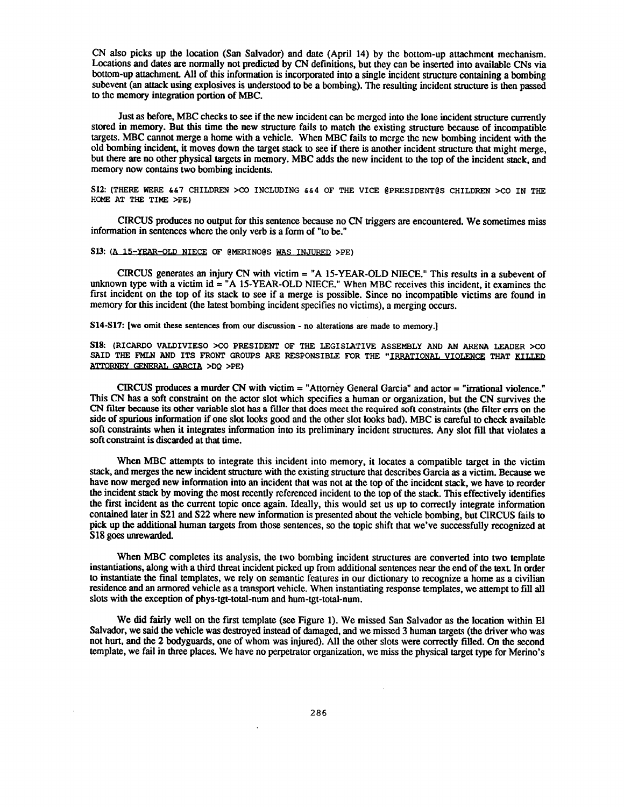CN also picks up the location (San Salvador) and date (April 14) by the bottom-up attachment mechanism . Locations and dates are normally not predicted by CN definitions, but they can be inserted into available CNs via bottom-up attachment. All of this information is incorporated into a single incident structure containing a bombing subevent (an attack using explosives is understood to be a bombing) . The resulting incident structure is then passed to the memory integration portion of MBC .

Just as before, MBC checks to see if the new incident can be merged into the lone incident structure currently stored in memory. But this time the new structure fails to match the existing structure because of incompatible targets. MBC cannot merge a home with a vehicle. When MBC fails to merge the new bombing incident with the old bombing **incident,** it moves down the target stack to see if there is another incident structure that might merge , but there are no other physical targets in memory . MBC adds the new incident to the top of the incident stack, and memory now contains two **bombing** incidents.

S12: (THERE WERE  $647$  CHILDREN >CO INCLUDING  $644$  OF THE VICE @PRESIDENT@S CHILDREN >CO IN THE **HOME AT THE TIME >PE)**

CIRCUS produces no **output** for this sentence because no CN triggers are encountered . We sometimes miss information in sentences where the only verb is a form of "to be."

## **S13:(A 75 —YEAR—OLD NIECE OF @MERINO@S WAS INJURED >PE)**

CIRCUS generates an injury CN with victim = "A 15-YEAR-OLD NIECE." This results in a subevent of unknown type with a victim id  $=$  "A 15-YEAR-OLD NIECE." When MBC receives this incident, it examines the first incident on the top of its stack to see if a merge is possible. Since no incompatible victims are found in memory for this incident (the latest bombing incident specifies no victims), a merging occurs.

**S14-S17 :** [we omit these sentences from **our discussion - no alterations are made to memory .]**

**S18: (RICARDO VALDIVIESO >CO PRESIDENT OF THE LEGISLATIVE ASSEMBLY AND AN ARENA LEADER >CO SAID THE FMLN AND ITS FRONT GROUPS ARE RESPONSIBLE FOR THE "IRRATIONAL VIOLENCE THAT JTLLED ATTORNRY GRNF.RAT, GARCIA >DQ >PE)**

CIRCUS **produces** a murder CN with victim = "Attorney General Garcia" and actor = "irrational violence . " This CN has **a** soft constraint on the actor slot which specifies a human or organization, but the CN survives the CN filter because its other variable slot has **a** filler that does meet the required soft constraints (the filter errs on the side of spurious information if one slot looks good and the other slot looks bad) . MBC is careful to check available soft constraints when it integrates information into its preliminary incident structures . Any slot fill that violates a soft constraint is discarded at that time.

When MBC attempts to integrate this incident into memory, it locates a compatible target in the victim stack, and merges the new incident structure with the existing structure that describes Garcia as a victim . Because we have now merged new information into an incident that was not at the top of the incident stack, we have to reorder the incident stack by moving the most recently referenced incident to the top of the stack . This effectively identifies the first incident as the current topic once again . Ideally, this would set us up to correctly integrate information contained later in S21 and S22 where new information is presented about the vehicle bombing, but CIRCUS fails to pick up the additional human targets from those sentences, so the topic shift that we 've successfully recognized at S<sub>18</sub> goes unrewarded.

When MBC completes its analysis, the two bombing incident structures are converted into two template instantiations, along with a third threat incident picked up from additional sentences near the end of the text. In order to instantiate the final templates, we rely on semantic features in our dictionary to recognize a home as a civilian residence and an armored vehicle as a transport vehicle. When instantiating response templates, we attempt to fill all slots with the exception of **phys-tgt-total-num** and hum-tgt-total-num.

We did fairly well on the first template (see Figure 1). We missed San Salvador as the location within El Salvador, we said the vehicle was destroyed instead of damaged, and we missed 3 human targets (the driver who was not hurt, and the 2 bodyguards, one of whom was injured). All the other slots were correctly filled. On the second template, we fail in three places. We have no perpetrator organization, we miss the physical target type for Merino' s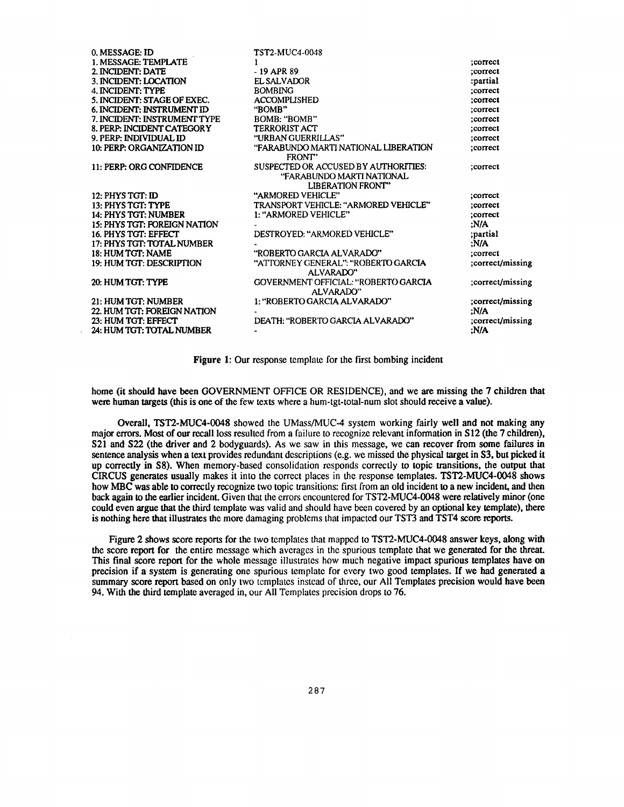| 0. MESSAGE: ID                    | <b>TST2-MUC4-0048</b>                                                                         |                  |
|-----------------------------------|-----------------------------------------------------------------------------------------------|------------------|
| 1. MESSAGE: TEMPLATE              |                                                                                               | ;correct         |
| 2. INCIDENT: DATE                 | $-19$ APR 89                                                                                  | :correct         |
| 3. INCIDENT: LOCATION             | EL SALVADOR                                                                                   | :partial         |
| <b>4. INCIDENT: TYPE</b>          | <b>BOMBING</b>                                                                                | :correct         |
| 5. INCIDENT: STAGE OF EXEC.       | <b>ACCOMPLISHED</b>                                                                           | :correct         |
| 6. INCIDENT: INSTRUMENT ID        | "BOMB"                                                                                        | :correct         |
| 7. INCIDENT: INSTRUMENT TYPE      | BOMB: "BOMB"                                                                                  | :correct         |
| 8. PERP: INCIDENT CATEGORY        | <b>TERRORIST ACT</b>                                                                          | :correct         |
| 9. PERP: INDIVIDUAL ID            | "URBAN GUERRILLAS"                                                                            | ;correct         |
| 10: PERP: ORGANIZATION ID         | "FARABUNDO MARTI NATIONAL LIBERATION<br>FRONT"                                                | :correct         |
| 11: PERP: ORG CONFIDENCE          | SUSPECTED OR ACCUSED BY AUTHORITIES:<br>"FARABUNDO MARTI NATIONAL<br><b>LIBERATION FRONT"</b> | ;correct         |
| 12: PHYS TGT: ID                  | "ARMORED VEHICLE"                                                                             | :correct         |
| 13: PHYS TGT: TYPE                | TRANSPORT VEHICLE: "ARMORED VEHICLE"                                                          | ;correct         |
| 14: PHYS TGT: NUMBER              | 1: "ARMORED VEHICLE"                                                                          | :correct         |
| 15: PHYS TGT: FOREIGN NATION      |                                                                                               | :N/A             |
| 16. PHYS TGT: EFFECT              | DESTROYED: "ARMORED VEHICLE"                                                                  | partial;         |
| <b>17: PHYS TGT: TOTAL NUMBER</b> |                                                                                               | ;N/A             |
| 18: HUM TGT: NAME                 | "ROBERTO GARCIA ALVARADO"                                                                     | :correct         |
| 19: HUM TGT: DESCRIPTION          | "ATTORNEY GENERAL": "ROBERTO GARCIA<br>ALVARADO"                                              | ;correct/missing |
| 20: HUM TGT: TYPE                 | GOVERNMENT OFFICIAL: "ROBERTO GARCIA<br>ALVARADO"                                             | correct/missing; |
| 21: HUM TGT: NUMBER               | 1: "ROBERTO GARCIA ALVARADO"                                                                  | :correct/missing |
| 22. HUM TGT: FOREIGN NATION       |                                                                                               | :N/A             |
| 23: HUM TGT: EFFECT               | DEATH: "ROBERTO GARCIA ALVARADO"                                                              | correct/missing; |
| 24: HUM TGT: TOTAL NUMBER         |                                                                                               | :N/A             |

Figure 1: Our response template for the first bombing incident

home (it should have been GOVERNMENT OFFICE OR RESIDENCE), and we are missing the 7 children that were human targets (this is one of the few texts where a hum-tgt-total-num slot should receive a value).

Overall, TST2-MUC4-0048 showed the UMass/MUC-4 system working fairly well and not making any major errors. Most of our recall loss resulted from a failure to recognize relevant information in S12 (the 7 children), S21 and S22 (the driver and 2 bodyguards). As we saw in this message, we can recover from some failures in sentence analysis when a text provides redundant descriptions (e .g. we missed the physical target in S3, but **picked** it up correctly in S8). When memory-based consolidation responds correctly to topic transitions, the output that CIRCUS generates usually makes it into the correct places in the response templates . TST2-MUC4-0048 shows how MBC was able to correctly recognize two topic transitions: first from an old incident to a new incident, and then back again to the earlier incident. Given that the errors encountered for TST2-MUC4-0048 were relatively minor (one could even argue that the third template was valid and should have been covered by an optional key template), there is nothing here that illustrates the more damaging problems that impacted our TST3 and TST4 score reports.

Figure 2 shows score reports for the two templates that mapped to TST2-MUC4-0048 answer keys, along with the score report for the entire message which averages in the spurious template that we generated for the threat. This final score report for the whole message illustrates how much negative impact spurious templates have on precision if a system is generating one spurious template for every two good templates . If we had generated a summary score report based on only two templates instead of three, our All Templates precision would have been 94. With the third template averaged in, our All Templates precision drops to 76 .